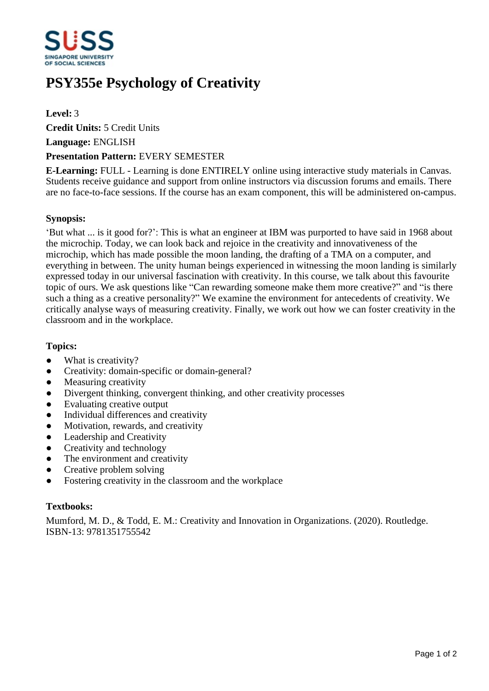

# **PSY355e Psychology of Creativity**

# **Level:** 3

**Credit Units:** 5 Credit Units

**Language:** ENGLISH

## **Presentation Pattern:** EVERY SEMESTER

**E-Learning:** FULL - Learning is done ENTIRELY online using interactive study materials in Canvas. Students receive guidance and support from online instructors via discussion forums and emails. There are no face-to-face sessions. If the course has an exam component, this will be administered on-campus.

## **Synopsis:**

'But what ... is it good for?': This is what an engineer at IBM was purported to have said in 1968 about the microchip. Today, we can look back and rejoice in the creativity and innovativeness of the microchip, which has made possible the moon landing, the drafting of a TMA on a computer, and everything in between. The unity human beings experienced in witnessing the moon landing is similarly expressed today in our universal fascination with creativity. In this course, we talk about this favourite topic of ours. We ask questions like "Can rewarding someone make them more creative?" and "is there such a thing as a creative personality?" We examine the environment for antecedents of creativity. We critically analyse ways of measuring creativity. Finally, we work out how we can foster creativity in the classroom and in the workplace.

#### **Topics:**

- What is creativity?
- Creativity: domain-specific or domain-general?
- Measuring creativity
- Divergent thinking, convergent thinking, and other creativity processes
- Evaluating creative output
- Individual differences and creativity
- Motivation, rewards, and creativity
- Leadership and Creativity
- Creativity and technology
- The environment and creativity
- Creative problem solving
- Fostering creativity in the classroom and the workplace

#### **Textbooks:**

Mumford, M. D., & Todd, E. M.: Creativity and Innovation in Organizations. (2020). Routledge. ISBN-13: 9781351755542